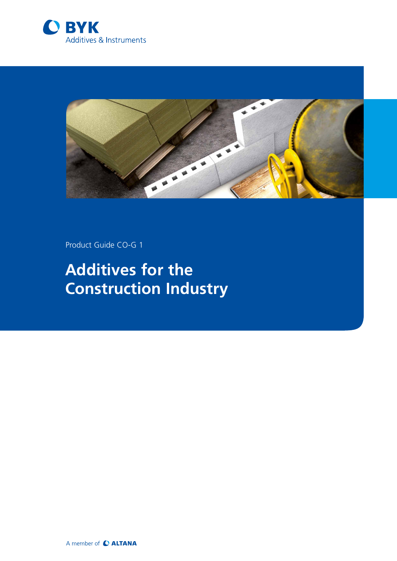



Product Guide CO-G 1

# **Additives for the Construction Industry**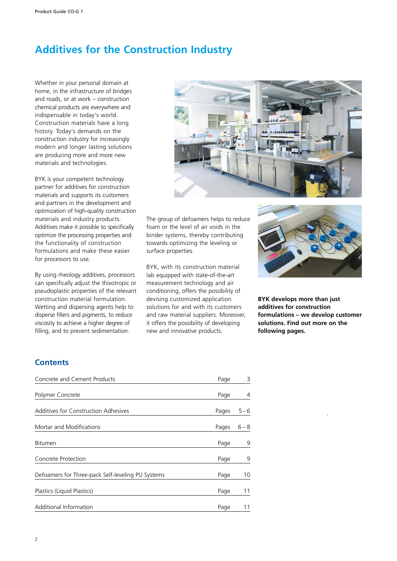# **Additives for the Construction Industry**

Whether in your personal domain at home, in the infrastructure of bridges and roads, or at work – construction chemical products are everywhere and indispensable in today's world. Construction materials have a long history. Today's demands on the construction industry for increasingly modern and longer lasting solutions are producing more and more new materials and technologies.

BYK is your competent technology partner for additives for construction materials and supports its customers and partners in the development and optimization of high-quality construction materials and industry products. Additives make it possible to specifically optimize the processing properties and the functionality of construction formulations and make these easier for processors to use.

By using rheology additives, processors can specifically adjust the thixotropic or pseudoplastic properties of the relevant construction material formulation. Wetting and dispersing agents help to disperse fillers and pigments, to reduce viscosity to achieve a higher degree of filling, and to prevent sedimentation.



The group of defoamers helps to reduce foam or the level of air voids in the binder systems, thereby contributing towards optimizing the leveling or surface properties.

BYK, with its construction material lab equipped with state-of-the-art measurement technology and air conditioning, offers the possibility of devising customized application solutions for and with its customers and raw material suppliers. Moreover, it offers the possibility of developing new and innovative products.



**BYK develops more than just additives for construction formulations – we develop customer solutions. Find out more on the following pages.**

# **Contents**

| Concrete and Cement Products                      | Page  | 3       |
|---------------------------------------------------|-------|---------|
| Polymer Concrete                                  | Page  | 4       |
| Additives for Construction Adhesives              | Pages | $5 - 6$ |
| Mortar and Modifications                          | Pages | $6 - 8$ |
| <b>Bitumen</b>                                    | Page  | 9       |
| Concrete Protection                               | Page  | 9       |
| Defoamers for Three-pack Self-leveling PU Systems | Page  | 10      |
| Plastics (Liquid Plastics)                        | Page  | 11      |
| Additional Information                            | Page  | 11      |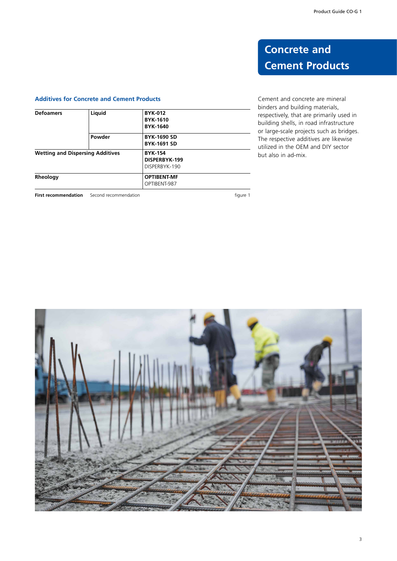# **Concrete and Cement Products**

## **Additives for Concrete and Cement Products**

| <b>Defoamers</b>                        | Liquid                | <b>BYK-012</b><br><b>BYK-1610</b><br><b>BYK-1640</b> |          |
|-----------------------------------------|-----------------------|------------------------------------------------------|----------|
|                                         | Powder                | <b>BYK-1690 SD</b><br><b>BYK-1691 SD</b>             |          |
| <b>Wetting and Dispersing Additives</b> |                       | <b>BYK-154</b><br>DISPERBYK-199<br>DISPERBYK-190     |          |
| Rheology                                |                       | <b>OPTIBENT-MF</b><br>OPTIBENT-987                   |          |
| <b>First recommendation</b>             | Second recommendation |                                                      | figure 1 |

Cement and concrete are mineral binders and building materials, respectively, that are primarily used in building shells, in road infrastructure or large-scale projects such as bridges. The respective additives are likewise utilized in the OEM and DIY sector but also in ad-mix.

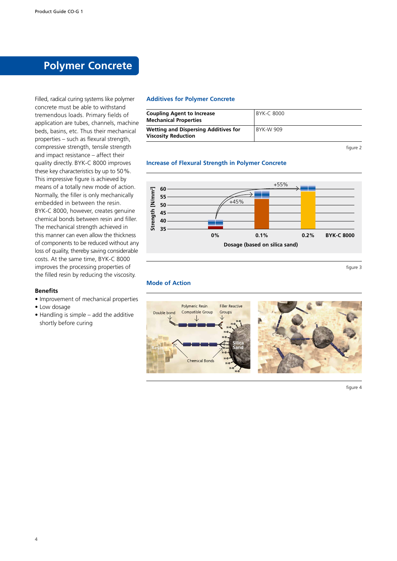# **Polymer Concrete**

Filled, radical curing systems like polymer concrete must be able to withstand tremendous loads. Primary fields of application are tubes, channels, machine beds, basins, etc. Thus their mechanical properties – such as flexural strength, compressive strength, tensile strength and impact resistance – affect their quality directly. BYK-C 8000 improves these key characteristics by up to 50%. This impressive figure is achieved by means of a totally new mode of action. Normally, the filler is only mechanically embedded in between the resin. BYK-C 8000, however, creates genuine chemical bonds between resin and filler. The mechanical strength achieved in this manner can even allow the thickness of components to be reduced without any loss of quality, thereby saving considerable costs. At the same time, BYK-C 8000 improves the processing properties of the filled resin by reducing the viscosity.

### **Benefits**

- Improvement of mechanical properties
- Low dosage
- Handling is simple add the additive shortly before curing

## **Additives for Polymer Concrete**

| <b>Coupling Agent to Increase</b><br><b>Mechanical Properties</b>         | BYK-C 8000 |
|---------------------------------------------------------------------------|------------|
| <b>Wetting and Dispersing Additives for</b><br><b>Viscosity Reduction</b> | BYK-W 909  |

figure 2

### **Increase of Flexural Strength in Polymer Concrete**



figure 3

#### **Mode of Action**



figure 4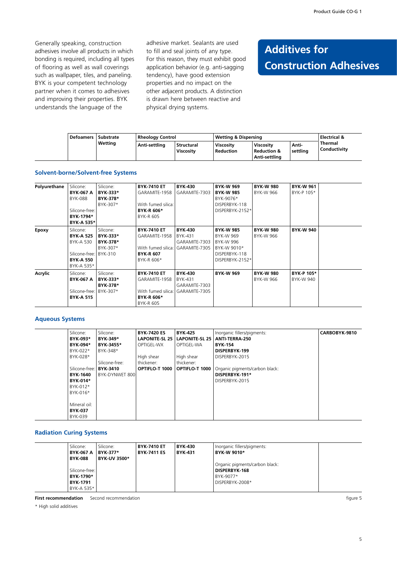Generally speaking, construction adhesives involve all products in which bonding is required, including all types of flooring as well as wall coverings such as wallpaper, tiles, and paneling. BYK is your competent technology partner when it comes to adhesives and improving their properties. BYK understands the language of the

adhesive market. Sealants are used to fill and seal joints of any type. For this reason, they must exhibit good application behavior (e.g. anti-sagging tendency), have good extension properties and no impact on the other adjacent products. A distinction is drawn here between reactive and physical drying systems.

# **Additives for Construction Adhesives**

| <b>Defoamers</b> | Substrate | <b>Rheology Control</b> |                           | Wetting & Dispersing          |                                                      |                   | <b>Electrical &amp;</b>        |
|------------------|-----------|-------------------------|---------------------------|-------------------------------|------------------------------------------------------|-------------------|--------------------------------|
|                  | Wetting   | Anti-settling           | l Structural<br>Viscosity | Viscosity<br><b>Reduction</b> | Viscosity<br><b>Reduction &amp;</b><br>Anti-settlina | Anti-<br>settlina | <b>Thermal</b><br>Conductivity |

#### **Solvent-borne/Solvent-free Systems**

| Polyurethane | Silicone:               | Silicone: | <b>BYK-7410 ET</b> | <b>BYK-430</b> | <b>BYK-W 969</b> | <b>BYK-W 980</b> | <b>BYK-W 961</b> |  |
|--------------|-------------------------|-----------|--------------------|----------------|------------------|------------------|------------------|--|
|              | <b>BYK-067 A</b>        | BYK-333*  | GARAMITE-1958      | GARAMITE-7303  | <b>BYK-W 985</b> | BYK-W 966        | BYK-P 105*       |  |
|              | BYK-088                 | BYK-378*  |                    |                | BYK-9076*        |                  |                  |  |
|              |                         | BYK-307*  | With fumed silica: |                | DISPERBYK-118    |                  |                  |  |
|              | Silicone-free:          |           | <b>BYK R 606*</b>  |                | DISPERBYK-2152*  |                  |                  |  |
|              | BYK-1794*               |           | BYK-R 605          |                |                  |                  |                  |  |
|              | BYK A 535*              |           |                    |                |                  |                  |                  |  |
| Epoxy        | Silicone:               | Silicone: | <b>BYK-7410 ET</b> | <b>BYK-430</b> | <b>BYK-W 985</b> | <b>BYK-W 980</b> | <b>BYK-W 940</b> |  |
|              | <b>BYK-A 525</b>        | BYK-333*  | GARAMITE-1958      | BYK-431        | BYK-W 969        | BYK-W 966        |                  |  |
|              | BYK-A 530               | BYK-378*  |                    | GARAMITE-7303  | BYK-W 996        |                  |                  |  |
|              |                         | BYK-307*  | With fumed silica: | GARAMITE-7305  | BYK-W 9010*      |                  |                  |  |
|              | Silicone-free:          | BYK-310   | <b>BYK-R 607</b>   |                | DISPERBYK-118    |                  |                  |  |
|              | <b>BYK-A 550</b>        |           | BYK-R 606*         |                | DISPERBYK-2152*  |                  |                  |  |
|              | BYK-A 535*              |           |                    |                |                  |                  |                  |  |
| Acrylic      | Silicone:               | Silicone: | <b>BYK-7410 ET</b> | <b>BYK-430</b> | <b>BYK-W 969</b> | <b>BYK-W 980</b> | BYK-P 105*       |  |
|              | <b>BYK-067 A</b>        | BYK-333*  | GARAMITE-1958      | BYK-431        |                  | BYK-W 966        | BYK-W 940        |  |
|              |                         | BYK-378*  |                    | GARAMITE-7303  |                  |                  |                  |  |
|              | Silicone-free: BYK-307* |           | With fumed silica: | GARAMITE-7305  |                  |                  |                  |  |
|              | <b>BYK-A 515</b>        |           | <b>BYK R 606*</b>  |                |                  |                  |                  |  |
|              |                         |           | BYK-R 605          |                |                  |                  |                  |  |

### **Aqueous Systems**

| Silicone:       | Silicone:       | <b>BYK-7420 ES</b> | <b>BYK-425</b>                  | Inorganic fillers/pigments:    | CARBOBYK-9810 |
|-----------------|-----------------|--------------------|---------------------------------|--------------------------------|---------------|
| BYK-093*        | <b>BYK-349*</b> |                    | LAPONITE-SL 25   LAPONITE-SL 25 | ANTI-TERRA-250                 |               |
| BYK-094*        | BYK-3455*       | OPTIGEL-WX         | OPTIGEL-WA                      | <b>BYK-154</b>                 |               |
| BYK-022*        | BYK-348*        |                    |                                 | DISPERBYK-199                  |               |
| BYK-028*        |                 | High shear         | High shear                      | DISPERBYK-2015                 |               |
|                 | Silicone-free:  | thickener:         | thickener:                      |                                |               |
| Silicone-free:  | <b>BYK-3410</b> | OPTIFLO-T 1000     | <b>OPTIFLO-T 1000</b>           | Organic pigments/carbon black: |               |
| <b>BYK-1640</b> | BYK-DYNWET 800  |                    |                                 | DISPERBYK-191*                 |               |
| BYK-014*        |                 |                    |                                 | DISPERBYK-2015                 |               |
| BYK-012*        |                 |                    |                                 |                                |               |
| BYK-016*        |                 |                    |                                 |                                |               |
|                 |                 |                    |                                 |                                |               |
| Mineral oil:    |                 |                    |                                 |                                |               |
| <b>BYK-037</b>  |                 |                    |                                 |                                |               |
| BYK-039         |                 |                    |                                 |                                |               |

### **Radiation Curing Systems**

| Silicone:<br><b>BYK-067 A</b><br><b>BYK-088</b>              | Silicone:<br><b>BYK 377*</b><br><b>BYK-UV 3500*</b> | <b>BYK-7410 ET</b><br><b>BYK-7411 ES</b> | BYK-430<br><b>BYK 431</b> | Inorganic fillers/pigments:<br><b>BYK-W 9010*</b>                                      |  |
|--------------------------------------------------------------|-----------------------------------------------------|------------------------------------------|---------------------------|----------------------------------------------------------------------------------------|--|
| Silicone-free:<br>BYK-1790*<br><b>BYK-1791</b><br>BYK-A 535* |                                                     |                                          |                           | Organic pigments/carbon black:<br><b>DISPERBYK-168</b><br>BYK-9077*<br>DISPERBYK-2008* |  |

**First recommendation** Second recommendation **Second recommendation figure 5 figure 5** 

\* High solid additives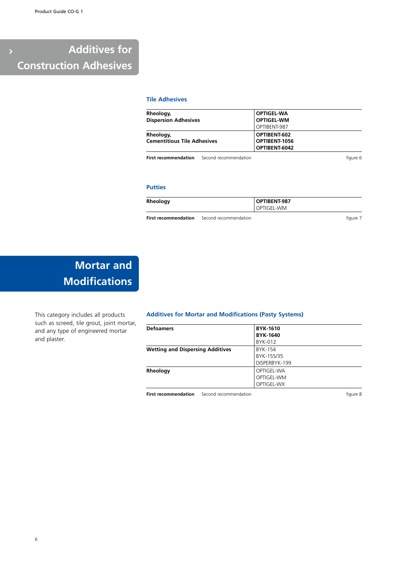# **Additives for Construction Adhesives**

## **Tile Adhesives**

| Rheology,                          | <b>OPTIGEL-WA</b> |  |
|------------------------------------|-------------------|--|
| <b>Dispersion Adhesives</b>        | <b>OPTIGEL-WM</b> |  |
|                                    | OPTIBENT-987      |  |
| Rheology,                          | OPTIBENT-602      |  |
| <b>Cementitious Tile Adhesives</b> | OPTIBENT-1056     |  |
|                                    | OPTIBENT-6042     |  |

**First recommendation** Second recommendation **First recommendation** figure 6

## **Putties**

| Rheology | OPTIBENT-987 |
|----------|--------------|
|          | OPTIGEL-WM   |

**First recommendation** Second recommendation **figure 7** 

# **Mortar and Modifications**

This category includes all products such as screed, tile grout, joint mortar, and any type of engineered mortar and plaster.

### **Additives for Mortar and Modifications (Pasty Systems)**

| <b>Defoamers</b>                        | <b>BYK-1610</b> |
|-----------------------------------------|-----------------|
|                                         | <b>BYK-1640</b> |
|                                         | BYK-012         |
| <b>Wetting and Dispersing Additives</b> | BYK-154         |
|                                         | BYK-155/35      |
|                                         | DISPERBYK-199   |
| Rheology                                | OPTIGEL-WA      |
|                                         | OPTIGEL-WM      |
|                                         | OPTIGEL-WX      |

**First recommendation** Second recommendation **figure 8**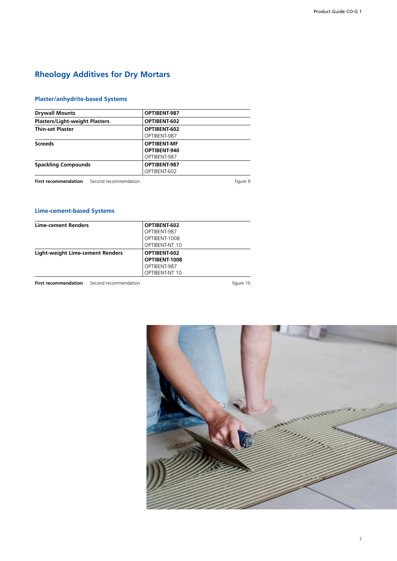# **Rheology Additives for Dry Mortars**

# **Plaster/anhydrite-based Systems**

| <b>Drywall Mounts</b>                             | OPTIBENT-987       |          |
|---------------------------------------------------|--------------------|----------|
| <b>Plasters/Light-weight Plasters</b>             | OPTIBENT-602       |          |
| <b>Thin-set Plaster</b>                           | OPTIBENT-602       |          |
|                                                   | OPTIBENT-987       |          |
| <b>Screeds</b>                                    | <b>OPTIBENT-MF</b> |          |
|                                                   | OPTIBENT-940       |          |
|                                                   | OPTIBENT-987       |          |
| <b>Spackling Compounds</b>                        | OPTIBENT-987       |          |
|                                                   | OPTIBENT-602       |          |
| <b>First recommendation</b> Second recommendation |                    | figure 9 |

# **Lime-cement-based Systems**

| <b>Lime-cement Renders</b>       | OPTIBENT-602   |
|----------------------------------|----------------|
|                                  | OPTIBENT-987   |
|                                  | OPTIBENT-1008  |
|                                  | OPTIBENT-NT 10 |
| Light-weight Lime-cement Renders | OPTIBENT-602   |
|                                  | OPTIBENT-1008  |
|                                  | OPTIBENT-987   |
|                                  | OPTIBENT-NT 10 |

**First recommendation** Second recommendation **Figure 10** figure 10

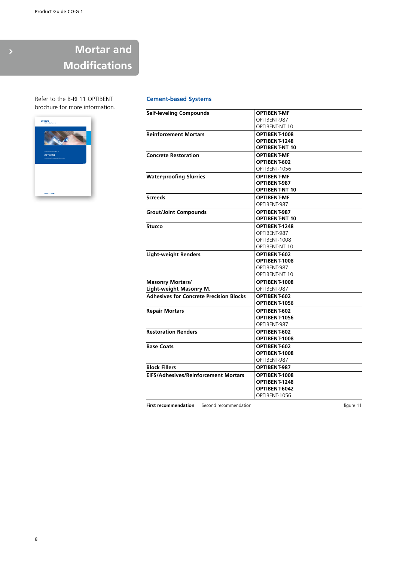# **Mortar and Modifications**

Refer to the B-RI 11 OPTIBENT brochure for more information.



## **Cement-based Systems**

| <b>Self-leveling Compounds</b>                 | <b>OPTIBENT-MF</b>    |
|------------------------------------------------|-----------------------|
|                                                | OPTIBENT-987          |
|                                                | OPTIBENT-NT 10        |
| <b>Reinforcement Mortars</b>                   | OPTIBENT-1008         |
|                                                | OPTIBENT-1248         |
|                                                | <b>OPTIBENT-NT 10</b> |
| <b>Concrete Restoration</b>                    | <b>OPTIBENT-MF</b>    |
|                                                | OPTIBENT-602          |
|                                                | OPTIBENT-1056         |
| <b>Water-proofing Slurries</b>                 | <b>OPTIBENT-MF</b>    |
|                                                | OPTIBENT-987          |
|                                                | <b>OPTIBENT-NT 10</b> |
| <b>Screeds</b>                                 | <b>OPTIBENT-MF</b>    |
|                                                | OPTIBENT-987          |
| <b>Grout/Joint Compounds</b>                   | OPTIBENT-987          |
|                                                | <b>OPTIBENT-NT 10</b> |
| <b>Stucco</b>                                  | OPTIBENT-1248         |
|                                                | OPTIBENT-987          |
|                                                | OPTIBENT-1008         |
|                                                | OPTIBENT-NT 10        |
| <b>Light-weight Renders</b>                    | OPTIBENT-602          |
|                                                | OPTIBENT-1008         |
|                                                | OPTIBENT-987          |
|                                                | OPTIBENT-NT 10        |
| <b>Masonry Mortars/</b>                        | OPTIBENT-1008         |
| Light-weight Masonry M.                        | OPTIBENT-987          |
| <b>Adhesives for Concrete Precision Blocks</b> | OPTIBENT-602          |
|                                                | OPTIBENT-1056         |
| <b>Repair Mortars</b>                          | OPTIBENT-602          |
|                                                | OPTIBENT-1056         |
|                                                | OPTIBENT-987          |
| <b>Restoration Renders</b>                     | OPTIBENT-602          |
|                                                | OPTIBENT-1008         |
| <b>Base Coats</b>                              | OPTIBENT-602          |
|                                                | OPTIBENT-1008         |
|                                                | OPTIBENT-987          |
| <b>Block Fillers</b>                           | OPTIBENT-987          |
| <b>EIFS/Adhesives/Reinforcement Mortars</b>    | OPTIBENT-1008         |
|                                                | OPTIBENT-1248         |
|                                                | OPTIBENT-6042         |
|                                                | OPTIBENT-1056         |

**First recommendation** Second recommendation **figure 11**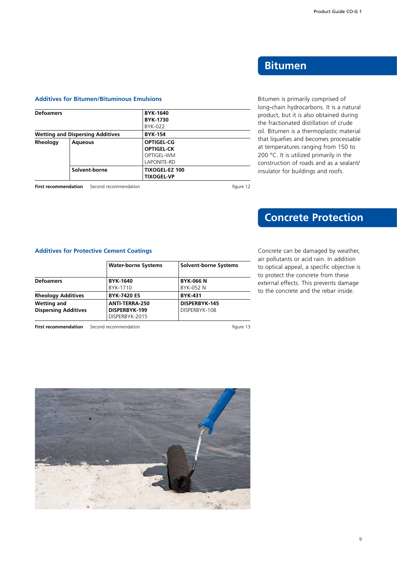# **Bitumen**

Bitumen is primarily comprised of long-chain hydrocarbons. It is a natural product, but it is also obtained during the fractionated distillation of crude oil. Bitumen is a thermoplastic material that liquefies and becomes processable at temperatures ranging from 150 to 200 °C. It is utilized primarily in the construction of roads and as a sealant/ insulator for buildings and roofs.

### **Additives for Bitumen/Bituminous Emulsions**

| <b>Defoamers</b> |                                         | <b>BYK-1640</b>       |  |
|------------------|-----------------------------------------|-----------------------|--|
|                  |                                         | <b>BYK-1730</b>       |  |
|                  |                                         | BYK-022               |  |
|                  | <b>Wetting and Dispersing Additives</b> | <b>BYK-154</b>        |  |
| Rheology         | <b>Aqueous</b>                          | <b>OPTIGEL-CG</b>     |  |
|                  |                                         | <b>OPTIGEL-CK</b>     |  |
|                  |                                         | OPTIGEL-WM            |  |
|                  |                                         | LAPONITE-RD           |  |
|                  | Solvent-borne                           | <b>TIXOGEL-EZ 100</b> |  |
|                  |                                         | <b>TIXOGEL-VP</b>     |  |

**First recommendation** Second recommendation **figure 12** 

# **Concrete Protection**

Concrete can be damaged by weather, air pollutants or acid rain. In addition to optical appeal, a specific objective is to protect the concrete from these external effects. This prevents damage to the concrete and the rebar inside.

# **Additives for Protective Cement Coatings**

|                             | <b>Water-borne Systems</b> | <b>Solvent-borne Systems</b> |
|-----------------------------|----------------------------|------------------------------|
| <b>Defoamers</b>            | <b>BYK-1640</b>            | <b>BYK-066 N</b>             |
|                             | BYK-1710                   | BYK-052 N                    |
| Rheology Additives          | <b>BYK-7420 ES</b>         | <b>BYK-431</b>               |
| Wetting and                 | ANTI-TERRA-250             | DISPERBYK-145                |
| <b>Dispersing Additives</b> | DISPERBYK-199              | DISPERBYK-108                |
|                             | DISPERBYK-2015             |                              |

**First recommendation** Second recommendation **Second Figure 13** 

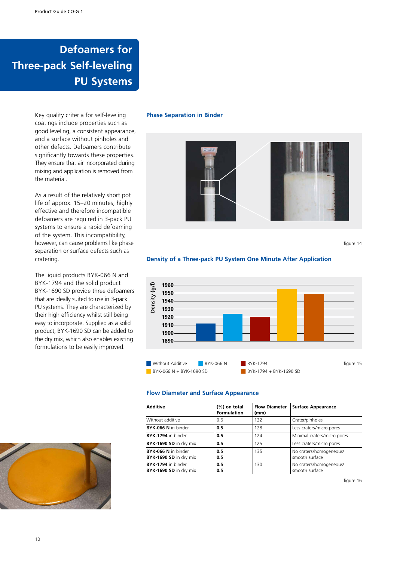# **Defoamers for Three-pack Self-leveling PU Systems**

Key quality criteria for self-leveling coatings include properties such as good leveling, a consistent appearance, and a surface without pinholes and other defects. Defoamers contribute significantly towards these properties. They ensure that air incorporated during mixing and application is removed from the material.

As a result of the relatively short pot life of approx. 15–20 minutes, highly effective and therefore incompatible defoamers are required in 3-pack PU systems to ensure a rapid defoaming of the system. This incompatibility, however, can cause problems like phase separation or surface defects such as cratering.

The liquid products BYK-066 N and BYK-1794 and the solid product BYK-1690 SD provide three defoamers that are ideally suited to use in 3-pack PU systems. They are characterized by their high efficiency whilst still being easy to incorporate. Supplied as a solid product, BYK-1690 SD can be added to the dry mix, which also enables existing formulations to be easily improved.

### **Phase Separation in Binder**



figure 14

## **Density of a Three-pack PU System One Minute After Application**



#### **Flow Diameter and Surface Appearance**

| <b>Additive</b>                               | (%) on total<br><b>Formulation</b> | <b>Flow Diameter</b><br>(mm) | <b>Surface Appearance</b>                 |
|-----------------------------------------------|------------------------------------|------------------------------|-------------------------------------------|
| Without additive                              | 0.6                                | 122                          | Crater/pinholes                           |
| BYK-066 N in binder                           | 0.5                                | 128                          | Less craters/micro pores                  |
| BYK-1794 in binder                            | 0.5                                | 124                          | Minimal craters/micro pores               |
| BYK-1690 SD in dry mix                        | 0.5                                | 125                          | Less craters/micro pores                  |
| BYK-066 N in binder<br>BYK-1690 SD in dry mix | 0.5<br>0.5                         | 135                          | No craters/homogeneous/<br>smooth surface |
| BYK-1794 in binder<br>BYK-1690 SD in dry mix  | 0.5<br>0.5                         | 130                          | No craters/homogeneous/<br>smooth surface |



figure 16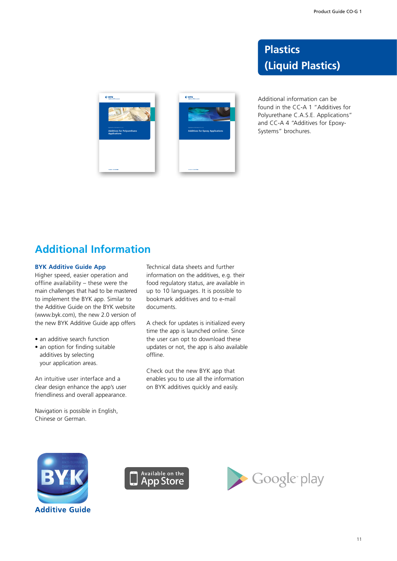# **Plastics (Liquid Plastics)**

Additional information can be found in the CC-A 1 "Additives for Polyurethane C.A.S.E. Applications" and CC-A 4 "Additives for Epoxy-Systems" brochures.



**Additives for Polyurethane Applications**

 $O$  BYK

# **Additional Information**

## **BYK Additive Guide App**

Higher speed, easier operation and offline availability – these were the main challenges that had to be mastered to implement the BYK app. Similar to the Additive Guide on the BYK website (www.byk.com), the new 2.0 version of the new BYK Additive Guide app offers

- an additive search function
- an option for finding suitable additives by selecting your application areas.

An intuitive user interface and a clear design enhance the app's user friendliness and overall appearance.

Navigation is possible in English, Chinese or German.

Technical data sheets and further information on the additives, e.g. their food regulatory status, are available in up to 10 languages. It is possible to bookmark additives and to e-mail documents.

**Additives for Epoxy Applications**

 $O$  BYK

A check for updates is initialized every time the app is launched online. Since the user can opt to download these updates or not, the app is also available offline.

Check out the new BYK app that enables you to use all the information on BYK additives quickly and easily.